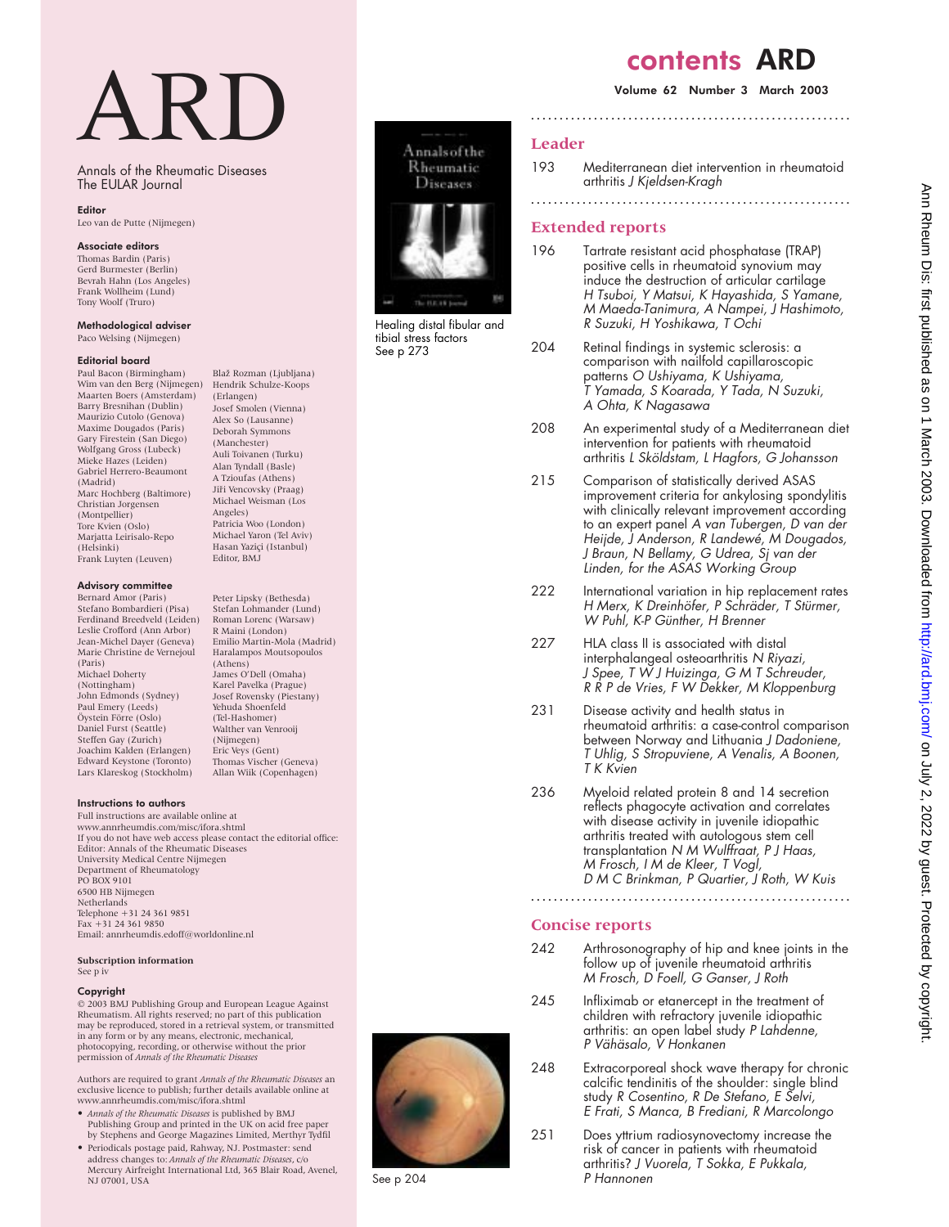# contents ARD

# Volume 62 Number 3 March 2003

# **Leader**

- 193 Mediterranean diet intervention in rheumatoid arthritis J Kjeldsen-Kragh
- **........................................................**

# **Extended reports**

- 196 Tartrate resistant acid phosphatase (TRAP) positive cells in rheumatoid synovium may induce the destruction of articular cartilage <sup>H</sup> Tsuboi, <sup>Y</sup> Matsui, <sup>K</sup> Hayashida, S Yamane, M Maeda-Tanimura, A Nampei, J Hashimoto, R Suzuki, H Yoshikawa, T Ochi
- 204 Retinal findings in systemic sclerosis: a comparison with nailfold capillaroscopic patterns O Ushiyama, <sup>K</sup> Ushiyama, T Yamada, S Koarada, Y Tada, N Suzuki, A Ohta, <sup>K</sup> Nagasawa
- 208 An experimental study of a Mediterranean diet intervention for patients with rheumatoid arthritis <sup>L</sup> Sköldstam, <sup>L</sup> Hagfors, G Johansson
- 215 Comparison of statistically derived ASAS improvement criteria for ankylosing spondylitis with clinically relevant improvement according to an expert panel A van Tubergen, <sup>D</sup> van der Heijde, J Anderson, <sup>R</sup> Landewé, M Dougados, J Braun, N Bellamy, G Udrea, Sj van der Linden, for the ASAS Working Group
- 222 International variation in hip replacement rates H Merx, K Dreinhöfer, P Schräder, T Stürmer, W Puhl, K-P Günther, H Brenner
- 227 HLA class II is associated with distal interphalangeal osteoarthritis N Riyazi, J Spee, <sup>T</sup> W J Huizinga, G M <sup>T</sup> Schreuder, <sup>R</sup> <sup>R</sup> <sup>P</sup> de Vries, <sup>F</sup> W Dekker, M Kloppenburg
- 231 Disease activity and health status in rheumatoid arthritis: a case-control comparison between Norway and Lithuania J Dadoniene, <sup>T</sup> Uhlig, S Stropuviene, A Venalis, A Boonen, T K Kvien
- 236 Myeloid related protein 8 and 14 secretion reflects phagocyte activation and correlates with disease activity in juvenile idiopathic arthritis treated with autologous stem cell transplantation N M Wulffraat, P J Haas, M Frosch, <sup>I</sup> M de Kleer, <sup>T</sup> Vogl, D M C Brinkman, P Quartier, J Roth, W Kuis

# **Concise reports**

242 Arthrosonography of hip and knee joints in the follow up of juvenile rheumatoid arthritis M Frosch, D Foell, G Ganser, J Roth

**........................................................**

- 245 Infliximab or etanercept in the treatment of children with refractory juvenile idiopathic arthritis: an open label study P Lahdenne, P Vähäsalo, V Honkanen
- 248 Extracorporeal shock wave therapy for chronic calcific tendinitis of the shoulder: single blind study <sup>R</sup> Cosentino, <sup>R</sup> De Stefano, <sup>E</sup> Selvi, <sup>E</sup> Frati, S Manca, <sup>B</sup> Frediani, <sup>R</sup> Marcolongo
- 251 Does yttrium radiosynovectomy increase the risk of cancer in patients with rheumatoid arthritis? J Vuorela, T Sokka, E Pukkala, P Hannonen





Healing distal fibular and tibial stress factors See p 273

# ARD

Annals of the Rheumatic Diseases The EULAR Journal

## Editor

Leo van de Putte (Nijmegen)

# Associate editors

Thomas Bardin (Paris) Gerd Burmester (Berlin) Bevrah Hahn (Los Angeles) Frank Wollheim (Lund) Tony Woolf (Truro)

#### Methodological adviser

Paco Welsing (Nijmegen)

#### Editorial board

Paul Bacon (Birmingham) Wim van den Berg (Nijmegen) Maarten Boers (Amsterdam) Barry Bresnihan (Dublin) Maurizio Cutolo (Genova) Maxime Dougados (Paris) Gary Firestein (San Diego) Wolfgang Gross (Lubeck) Mieke Hazes (Leiden) Gabriel Herrero-Beaumont (Madrid) Marc Hochberg (Baltimore) Christian Jorgensen (Montpellier) Tore Kvien (Oslo) Marjatta Leirisalo-Repo (Helsinki) Frank Luyten (Leuven)

## Advisory committee

Bernard Amor (Paris) Stefano Bombardieri (Pisa) Ferdinand Breedveld (Leiden) Leslie Crofford (Ann Arbor) Jean-Michel Dayer (Geneva) Marie Christine de Vernejoul (Paris) Michael Doherty (Nottingham) John Edmonds (Sydney) Paul Emery (Leeds) Öystein Förre (Oslo) Daniel Furst (Seattle) Steffen Gay (Zurich) Joachim Kalden (Erlangen) Edward Keystone (Toronto) Lars Klareskog (Stockholm)

#### Instructions to authors

Full instructions are available online at www.annrheumdis.com/misc/ifora.shtml If you do not have web access please contact the editorial office: Editor: Annals of the Rheumatic Diseases University Medical Centre Nijmegen Department of Rheumatology PO BOX 9101 6500 HB Nijmegen **Netherlands** Telephone +31 24 361 9851 Fax +31 24 361 9850 Email: annrheumdis.edoff@worldonline.nl

#### **Subscription information** See p iv

#### Copyright

© 2003 BMJ Publishing Group and European League Against Rheumatism. All rights reserved; no part of this publication may be reproduced, stored in a retrieval system, or transmitted in any form or by any means, electronic, mechanical, photocopying, recording, or otherwise without the prior permission of *Annals of the Rheumatic Diseases*

Authors are required to grant *Annals of the Rheumatic Diseases* an exclusive licence to publish; further details available online at www.annrheumdis.com/misc/ifora.shtml

- *Annals of the Rheumatic Diseases* is published by BMJ Publishing Group and printed in the UK on acid free paper by Stephens and George Magazines Limited, Merthyr Tydfil
- Periodicals postage paid, Rahway, NJ. Postmaster: send address changes to: *Annals of the Rheumatic Diseases*, c/o Mercury Airfreight International Ltd, 365 Blair Road, Avenel, NJ 07001, USA

Emilio Martin-Mola (Madrid) Haralampos Moutsopoulos (Athens) James O'Dell (Omaha) Karel Pavelka (Prague) Josef Rovensky (Piestany) Yehuda Shoenfeld (Tel-Hashomer) Walther van Venrooij (Nijmegen) Eric Veys (Gent) Thomas Vischer (Geneva) Allan Wiik (Copenhagen)

Blaž Rozman (Ljubljana) Hendrik Schulze-Koops (Erlangen) Josef Smolen (Vienna) Alex So (Lausanne) Deborah Symmons (Manchester) Auli Toivanen (Turku) Alan Tyndall (Basle) A Tzioufas (Athens) Jiři Vencovsky (Praag) Michael Weisman (Los Angeles) Patricia Woo (London) Michael Yaron (Tel Aviv) Hasan Yaziçi (Istanbul) Editor, BMJ

Peter Lipsky (Bethesda) Stefan Lohmander (Lund) Roman Lorenc (Warsaw) R Maini (London)



See p 204